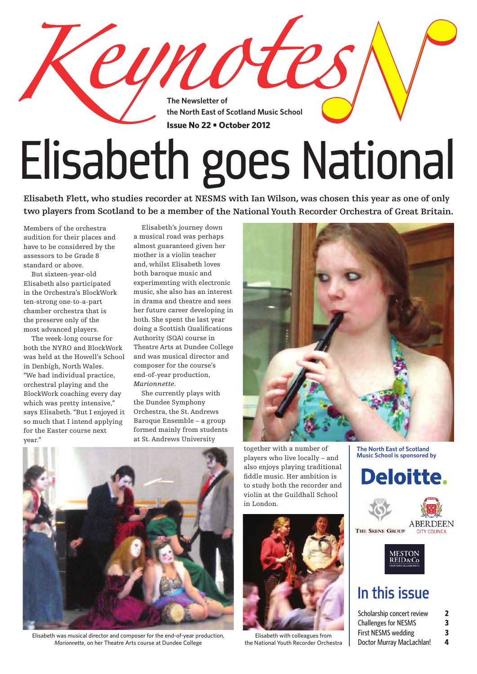**The Newsletter of the North East of Scotland Music School Issue No 22 • October 2012**

cynote

# Elisabeth goes National

Elisabeth Flett, who studies recorder at NESMS with Ian Wilson, was chosen this year as one of only **two players from Scotland to be <sup>a</sup> member of the NationalYouth Recorder Orchestra of Great Britain.**

Members of the orchestra audition for their places and have to be considered by the assessors to be Grade 8 standard or above.

 But sixteen-year-old Elisabeth also participated in the Orchestra's BlockWork ten-strong one-to-a-part chamber orchestra that is the preserve only of the most advanced players.

 The week-long course for both the NYRO and BlockWork was held at the Howell's School in Denbigh, North Wales. "We had individual practice, orchestral playing and the BlockWork coaching every day which was pretty intensive," says Elisabeth."But I enjoyed it so much that I intend applying for the Easter course next year."

 Elisabeth's journey down a musical road was perhaps almost guaranteed given her mother is a violin teacher and, whilst Elisabeth loves both baroque music and experimenting with electronic music, she also has an interest in drama and theatre and sees her future career developing in both. She spent the last year doing a Scottish Qualifications Authority (SQA) course in Theatre Arts at Dundee College and was musical director and composer for the course's end-of-year production, *Marionnette*.

 She currently plays with the Dundee Symphony Orchestra, the St. Andrews Baroque Ensemble – a group formed mainly from students at St. Andrews University



Elisabeth was musical director and composer for the end-of-year production, *Marionnette*, on her Theatre Arts course at Dundee College

together with a number of players who live locally – and also enjoys playing traditional fiddle music. Her ambition is to study both the recorder and violin at the Guildhall School in London.



Elisabeth with colleagues from the National Youth Recorder Orchestra

**The North East of Scotland Music School is sponsored by**



THE SKENE GROUP **MESTON REID&C** 

**CITY COUNCIL** 

### In this issue

| Scholarship concert review  | 2 |
|-----------------------------|---|
| <b>Challenges for NESMS</b> | 3 |
| <b>First NESMS wedding</b>  | 3 |
| Doctor Murray MacLachlan!   | 4 |

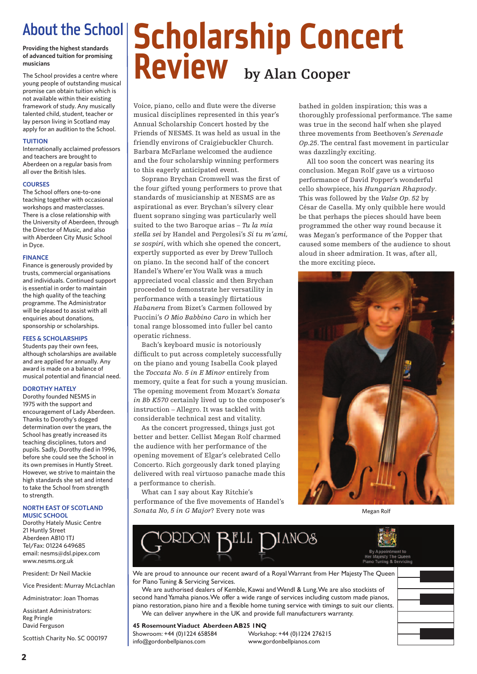### About the School

**of advanced tuition for promising musicians**

The School provides a centre where young people of outstanding musical promise can obtain tuition which is not available within their existing framework of study. Any musically talented child, student, teacher or lay person living in Scotland may apply for an audition to the School.

#### **TUITION**

Internationally acclaimed professors and teachers are brought to Aberdeen on a regular basis from all over the British Isles.

#### **COURSES**

The School offers one-to-one teaching together with occasional workshops and masterclasses. There is a close relationship with the University of Aberdeen, through the Director of Music, and also with Aberdeen City Music School in Dyce.

#### **FINANCE**

Finance is generously provided by trusts, commercial organisations and individuals. Continued support is essential in order to maintain the high quality of the teaching programme. The Administrator will be pleased to assist with all enquiries about donations, sponsorship or scholarships.

#### **FEES & SCHOLARSHIPS**

Students pay their own fees, although scholarships are available and are applied for annually. Any award is made on a balance of musical potential and financial need.

#### **DOROTHY HATELY**

Dorothy founded NESMS in 1975 with the support and encouragement of Lady Aberdeen. Thanks to Dorothy's dogged determination over the years, the School has greatly increased its teaching disciplines, tutors and pupils. Sadly, Dorothy died in 1996, before she could see the School in its own premises in Huntly Street. However, we strive to maintain the high standards she set and intend to take the School from strength to strength.

#### **NORTH EAST OF SCOTLAND MUSIC SCHOOL**

Dorothy Hately Music Centre 21 Huntly Street Aberdeen AB10 1TJ Tel/Fax: 01224 649685 email: nesms@dsl.pipex.com www.nesms.org.uk

President: Dr Neil Mackie

Vice President: Murray McLachlan

Administrator: Joan Thomas

Assistant Administrators: Reg Pringle David Ferguson

Scottish Charity No. SC 000197

## About the School School School arship Concert **Review by Alan Cooper**

Voice, piano, cello and flute were the diverse musical disciplines represented in this year's Annual Scholarship Concert hosted by the Friends of NESMS. It was held as usual in the friendly environs of Craigiebuckler Church. Barbara McFarlane welcomed the audience and the four scholarship winning performers to this eagerly anticipated event.

 Soprano Brychan Cromwell was the first of the four gifted young performers to prove that standards of musicianship at NESMS are as aspirational as ever. Brychan's silvery clear fluent soprano singing was particularly well suited to the two Baroque arias – *Tu la mia stella sei* by Handel and Pergolesi's *Si tu m'ami, se sospiri*, with which she opened the concert, expertly supported as ever by Drew Tulloch on piano. In the second half of the concert Handel's Where'er You Walk was a much appreciated vocal classic and then Brychan proceeded to demonstrate her versatility in performance with a teasingly flirtatious *Habanera* from Bizet's Carmen followed by Puccini's *O Mio Babbino Caro* in which her tonal range blossomed into fuller bel canto operatic richness.

 Bach's keyboard music is notoriously difficult to put across completely successfully on the piano and young Isabella Cook played the *Toccata No. 5 in E Minor* entirely from memory, quite a feat for such a young musician. The opening movement from Mozart's *Sonata in Bb K570* certainly lived up to the composer's instruction – Allegro. It was tackled with considerable technical zest and vitality.

 As the concert progressed, things just got better and better. Cellist Megan Rolf charmed the audience with her performance of the opening movement of Elgar's celebrated Cello Concerto. Rich gorgeously dark toned playing delivered with real virtuoso panache made this a performance to cherish.

 What can I say about Kay Ritchie's performance of the five movements of Handel's *Sonata No, 5 in G Major*? Every note was

bathed in golden inspiration; this was a thoroughly professional performance.The same was true in the second half when she played three movements from Beethoven's *Serenade Op.25*.The central fast movement in particular was dazzlingly exciting.

 All too soon the concert was nearing its conclusion. Megan Rolf gave us a virtuoso performance of David Popper's wonderful cello showpiece, his *Hungarian Rhapsody*. This was followed by the *Valse Op. 52* by César de Casella. My only quibble here would be that perhaps the pieces should have been programmed the other way round because it was Megan's performance of the Popper that caused some members of the audience to shout aloud in sheer admiration. It was, after all, the more exciting piece**.**



Megan Rolf



We are proud to announce our recent award of a Royal Warrant from Her Majesty The Queen for Piano Tuning & Servicing Services.

We are authorised dealers of Kemble, Kawai andWendl & Lung.We are also stockists of second hand Yamaha pianos. We offer a wide range of services including custom made pianos, piano restoration, piano hire and a flexible home tuning service with timings to suit our clients. We can deliver anywhere in the UK and provide full manufacturers warranty.

**45 RosemountViaduct Aberdeen AB25 1NQ**

info@gordonbellpianos.com www.gordonbellpianos.com

Showroom: +44 (0)1224 658584 Workshop: +44 (0)1224 276215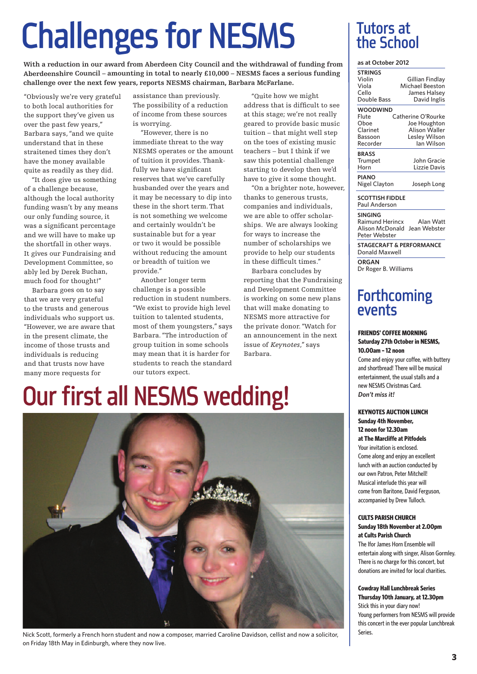## **Challenges for NESMS**

**With <sup>a</sup> reduction in our award from Aberdeen City Council and the withdrawal of funding from Aberdeenshire Council – amounting in total to nearly £10,000 – NESMS faces <sup>a</sup> serious funding challenge over the next few years, reports NESMS chairman, Barbara McFarlane.**

"Obviously we're very grateful to both local authorities for the support they've given us over the past few years," Barbara says,"and we quite understand that in these straitened times they don't have the money available quite as readily as they did.

"It does give us something of <sup>a</sup> challenge because, although the local authority funding wasn't by any means our only funding source, it was <sup>a</sup> significant percentage and we will have to make up the shortfall in other ways. It gives our Fundraising and Development Committee, so ably led by Derek Buchan, much food for thought!"

Barbara goes on to say that we are very grateful to the trusts and generous individuals who support us. "However, we are aware that in the present climate, the income of those trusts and individuals is reducing and that trusts now have many more requests for

assistance than previously. The possibility of <sup>a</sup> reduction of income from these sources is worrying.

"However, there is no immediate threat to the way NESMS operates or the amount of tuition it provides.Thankfully we have significant reserves that we've carefully husbanded over the years and it may be necessary to dip into these in the short term.That is not something we welcome and certainly wouldn't be sustainable but for <sup>a</sup> year or two it would be possible without reducing the amount or breadth of tuition we provide."

"We exist to provide high level tuition to talented students, most of them youngsters," says Barbara."The introduction of group tuition in some schools may mean that it is harder for students to reach the standard our tutors expect.

"Quite how we might address that is difficult to see at this stage; we're not really geared to provide basic music tuition – that might well step on the toes of existing music teachers – but I think if we saw this potential challenge starting to develop then we'd have to give it some thought.

"On <sup>a</sup> brighter note, however, thanks to generous trusts, companies and individuals, we are able to offer scholarships. We are always looking for ways to increase the number of scholarships we provide to help our students in these difficult times."

Barbara concludes by reporting that the Fundraising and Development Committee is working on some new plans that will make donating to NESMS more attractive for the private donor."Watch for an announcement in the next issue of *Keynotes*," says Barbara.

#### Another longer term challenge is <sup>a</sup> possible reduction in student numbers.

Tutors at the School

#### **as at October 2012**

| <b>STRINGS</b>                    |                        |
|-----------------------------------|------------------------|
| Violin                            | Gillian Findlay        |
| Viola                             | <b>Michael Beeston</b> |
| Cello                             | James Halsey           |
| Double Bass                       | David Inglis           |
| <b>WOODWIND</b>                   |                        |
| Flute                             | Catherine O'Rourke     |
| Oboe                              | Joe Houghton           |
| Clarinet                          | <b>Alison Waller</b>   |
| Bassoon                           | Lesley Wilson          |
| Recorder                          | lan Wilson             |
| <b>BRASS</b>                      |                        |
| Trumpet                           | John Gracie            |
| Horn                              | Lizzie Davis           |
| <b>PIANO</b>                      |                        |
| Nigel Clayton                     | Joseph Long            |
| <b>SCOTTISH FIDDLE</b><br>n I . A |                        |

Paul Anderson

**SINGING** Raimund Herincx Alan Watt Alison McDonald Jean Webster Peter Webster

**STAGECRAFT & PERFORMANCE** Donald Maxwell

**ORGAN** Dr Roger B. Williams

### **Forthcoming** events

#### **FRIENDS' COFFEE MORNING Saturday 27th October in NESMS,**

**10.00am –12 noon** Come and enjoy your coffee, with buttery and shortbread! There will be musical entertainment, the usual stalls and a new NESMS Christmas Card. *Don't miss it!*

#### **KEYNOTES AUCTION LUNCH Sunday 4th November, 12 noon for 12.30am**

**at The Marcliffe at Pitfodels** Your invitation is enclosed.

Come along and enjoy an excellent lunch with an auction conducted by our own Patron, Peter Mitchell! Musical interlude this year will come from Baritone, David Ferguson, accompanied by Drew Tulloch.

#### **CULTS PARISH CHURCH Sunday 18th November at 2.00pm at Cults Parish Church**

The Ifor James Horn Ensemble will entertain along with singer, Alison Gormley. There is no charge for this concert, but donations are invited for local charities.

**Cowdray Hall Lunchbreak Series Thursday 10th January, at 12.30pm**

Stick this in your diary now! Young performers from NESMS will provide this concert in the ever popular Lunchbreak Series.

## Our first all NESMS wedding!



Nick Scott, formerly a French horn student and now a composer, married Caroline Davidson, cellist and now a solicitor, on Friday 18th May in Edinburgh, where they now live.